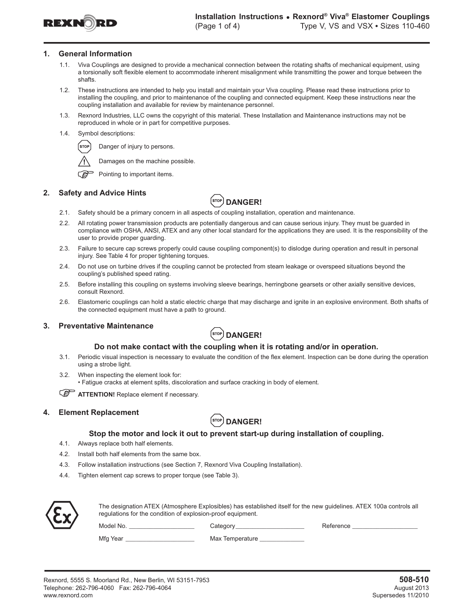

#### **1. General Information**

- 1.1. Viva Couplings are designed to provide a mechanical connection between the rotating shafts of mechanical equipment, using a torsionally soft flexible element to accommodate inherent misalignment while transmitting the power and torque between the shafts.
- 1.2. These instructions are intended to help you install and maintain your Viva coupling. Please read these instructions prior to installing the coupling, and prior to maintenance of the coupling and connected equipment. Keep these instructions near the coupling installation and available for review by maintenance personnel.
- 1.3. Rexnord Industries, LLC owns the copyright of this material. These Installation and Maintenance instructions may not be reproduced in whole or in part for competitive purposes.
- 1.4. Symbol descriptions:



Damages on the machine possible.



౧తె Pointing to important items.

## **2. Safety and Advice Hints**



- 2.1. Safety should be a primary concern in all aspects of coupling installation, operation and maintenance.
- 2.2. All rotating power transmission products are potentially dangerous and can cause serious injury. They must be guarded in compliance with OSHA, ANSI, ATEX and any other local standard for the applications they are used. It is the responsibility of the user to provide proper guarding.
- 2.3. Failure to secure cap screws properly could cause coupling component(s) to dislodge during operation and result in personal injury. See Table 4 for proper tightening torques.
- 2.4. Do not use on turbine drives if the coupling cannot be protected from steam leakage or overspeed situations beyond the coupling's published speed rating.
- 2.5. Before installing this coupling on systems involving sleeve bearings, herringbone gearsets or other axially sensitive devices, consult Rexnord.
- 2.6. Elastomeric couplings can hold a static electric charge that may discharge and ignite in an explosive environment. Both shafts of the connected equipment must have a path to ground.

#### **3. Preventative Maintenance**



#### **Do not make contact with the coupling when it is rotating and/or in operation.**

- 3.1. Periodic visual inspection is necessary to evaluate the condition of the flex element. Inspection can be done during the operation using a strobe light.
- 3.2. When inspecting the element look for: • Fatigue cracks at element splits, discoloration and surface cracking in body of element.

**ATTENTION!** Replace element if necessary.

## **4. Element Replacement**



#### **Stop the motor and lock it out to prevent start-up during installation of coupling.**

- 4.1. Always replace both half elements.
- 4.2. Install both half elements from the same box.
- 4.3. Follow installation instructions (see Section 7, Rexnord Viva Coupling Installation).
- 4.4. Tighten element cap screws to proper torque (see Table 3).



The designation ATEX (Atmosphere Explosibles) has established itself for the new guidelines. ATEX 100a controls all regulations for the condition of explosion-proof equipment.

Model No. \_\_\_\_\_\_\_\_\_\_\_\_\_\_\_\_\_\_\_\_\_\_\_\_\_\_\_\_\_\_Category\_\_\_\_\_\_\_\_\_\_\_\_\_\_\_\_\_\_\_\_\_\_\_\_\_\_\_\_\_\_\_\_Reference \_

Mfg Year \_\_\_\_\_\_\_\_\_\_\_\_\_\_\_\_\_\_\_\_\_\_\_\_\_\_\_\_\_\_\_\_\_\_\_ Max Temperature \_\_\_\_\_\_\_\_\_\_\_\_\_\_\_\_\_\_\_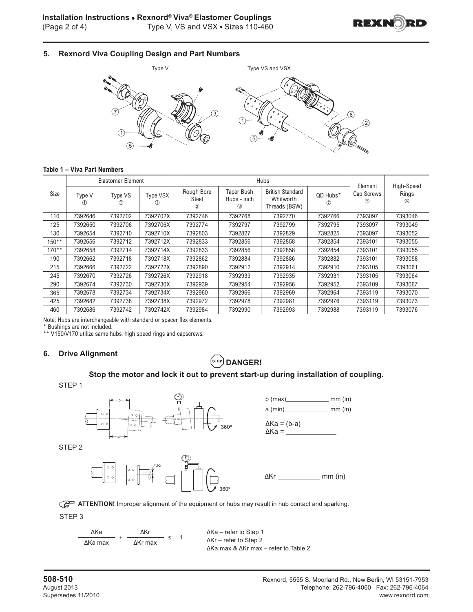

# **5. Rexnord Viva Coupling Design and Part Numbers**



## **Table 1 – Viva Part Numbers**

|         |                   | <b>Elastomer Element</b> |                      |                                             |                                       | Hubs                                                  |                 |                              | High-Speed              |  |
|---------|-------------------|--------------------------|----------------------|---------------------------------------------|---------------------------------------|-------------------------------------------------------|-----------------|------------------------------|-------------------------|--|
| Size    | Type V<br>$\circ$ | Type VS<br>O             | <b>Type VSX</b><br>O | Rough Bore<br><b>Steel</b><br>$\circled{2}$ | <b>Taper Bush</b><br>Hubs - inch<br>3 | <b>British Standard</b><br>Whitworth<br>Threads (BSW) | QD Hubs*<br>(7) | Element<br>Cap Screws<br>(5) | Rings<br>$\circledcirc$ |  |
| 110     | 7392646           | 7392702                  | 7392702X             | 7392746                                     | 7392768                               | 7392770                                               | 7392766         | 7393097                      | 7393046                 |  |
| 125     | 7392650           | 7392706                  | 7392706X             | 7392774                                     | 7392797                               | 7392799                                               | 7392795         | 7393097                      | 7393049                 |  |
| 130     | 7392654           | 7392710                  | 7392710X             | 7392803                                     | 7392827                               | 7392829                                               | 7392825         | 7393097                      | 7393052                 |  |
| $150**$ | 7392656           | 7392712                  | 7392712X             | 7392833                                     | 7392856                               | 7392858                                               | 7392854         | 7393101                      | 7393055                 |  |
| $170**$ | 7392658           | 7392714                  | 7392714X             | 7392833                                     | 7392856                               | 7392858                                               | 7392854         | 7393101                      | 7393055                 |  |
| 190     | 7392662           | 7392718                  | 7392718X             | 7392862                                     | 7392884                               | 7392886                                               | 7392882         | 7393101                      | 7393058                 |  |
| 215     | 7392666           | 7392722                  | 7392722X             | 7392890                                     | 7392912                               | 7392914                                               | 7392910         | 7393105                      | 7393061                 |  |
| 245     | 7392670           | 7392726                  | 7392726X             | 7392918                                     | 7392933                               | 7392935                                               | 7392931         | 7393105                      | 7393064                 |  |
| 290     | 7392674           | 7392730                  | 7392730X             | 7392939                                     | 7392954                               | 7392956                                               | 7392952         | 7393109                      | 7393067                 |  |
| 365     | 7392678           | 7392734                  | 7392734X             | 7392960                                     | 7392966                               | 7392969                                               | 7392964         | 7393119                      | 7393070                 |  |
| 425     | 7392682           | 7392738                  | 7392738X             | 7392972                                     | 7392978                               | 7392981                                               | 7392976         | 7393119                      | 7393073                 |  |
| 460     | 7392686           | 7392742                  | 7392742X             | 7392984                                     | 7392990                               | 7392993                                               | 7392988         | 7393119                      | 7393076                 |  |

Note: Hubs are interchangeable with standard or spacer flex elements.

\* Bushings are not included.

\*\* V150/V170 utilize same hubs, high speed rings and capscrews.

## **6. Drive Alignment**

# $\left($ srop) **DANGER!**

## **Stop the motor and lock it out to prevent start-up during installation of coupling.**

STEP<sub>1</sub>



STEP<sub>2</sub>





∆Kr \_\_\_\_\_\_\_\_\_\_\_\_\_\_ mm (in)



STEP<sub>3</sub>

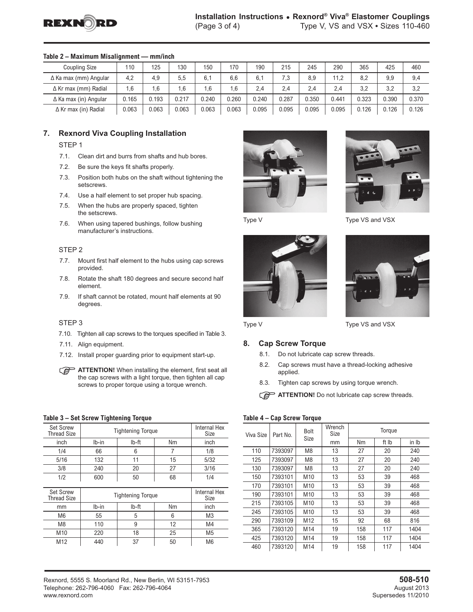

|                              | -------- |       |       |       |       |       |       |       |       |       |       |       |
|------------------------------|----------|-------|-------|-------|-------|-------|-------|-------|-------|-------|-------|-------|
| Coupling Size                | 110      | 125   | 130   | 150   | 170   | 190   | 215   | 245   | 290   | 365   | 425   | 460   |
| $\Delta$ Ka max (mm) Angular | 4,2      | 4.9   | 5.5   | 6.1   | 6.6   | 6.1   | 7.3   | 8.9   | 11.2  | 8.2   | 9.9   | 9,4   |
| $\Delta$ Kr max (mm) Radial  | 1.6      | .6    | .6    | 1.6   | 6.،   | 2.4   | 2.4   | 2.4   | 2.4   | 3.2   | 3.2   | 3,2   |
| $\Delta$ Ka max (in) Angular | 0.165    | 0.193 | 0.217 | 0.240 | 0.260 | 0.240 | 0.287 | 0.350 | 0.441 | 0.323 | 0.390 | 0.370 |
| $\Delta$ Kr max (in) Radial  | 0.063    | 0.063 | 0.063 | 0.063 | 0.063 | 0.095 | 0.095 | 0.095 | 0.095 | 0.126 | 0.126 | 0.126 |

## **Table 2 – Maximum Misalignment — mm/inch**

## **7. Rexnord Viva Coupling Installation**

STEP<sub>1</sub>

- 7.1. Clean dirt and burrs from shafts and hub bores.
- 7.2. Be sure the keys fit shafts properly.
- 7.3. Position both hubs on the shaft without tightening the setscrews.
- 7.4. Use a half element to set proper hub spacing.
- 7.5. When the hubs are properly spaced, tighten the setscrews.
- 7.6. When using tapered bushings, follow bushing manufacturer's instructions.

#### STFP<sub>2</sub>

- 7.7. Mount first half element to the hubs using cap screws provided.
- 7.8. Rotate the shaft 180 degrees and secure second half element.
- 7.9. If shaft cannot be rotated, mount half elements at 90 degrees.

#### STEP<sub>3</sub>

- 7.10. Tighten all cap screws to the torques specified in Table 3.
- 7.11. Align equipment.
- 7.12. Install proper guarding prior to equipment start-up.
- **ATTENTION!** When installing the element, first seat all the cap screws with a light torque, then tighten all cap screws to proper torque using a torque wrench.

#### **Table 3 – Set Screw Tightening Torque**

|       | Internal Hex<br>Size |                                   |                          |
|-------|----------------------|-----------------------------------|--------------------------|
| Ib-in | Nm                   | inch                              |                          |
| 66    | 6                    | 7                                 | 1/8                      |
| 132   | 11                   | 15                                | 5/32                     |
| 240   | 20                   | 27                                | 3/16                     |
| 600   | 50                   | 68                                | 1/4                      |
|       |                      |                                   |                          |
|       | Internal Hex         |                                   |                          |
|       |                      |                                   | Size                     |
| Ib-in | Ib-ft                | Nm                                | inch                     |
| 55    | 5                    | 6                                 | M <sub>3</sub>           |
| 110   | 9                    | 12                                | M4                       |
| 220   | 18                   | 25                                | M <sub>5</sub>           |
|       |                      | Ib-ft<br><b>Tightening Torque</b> | <b>Tightening Torque</b> |







Type V Type VS and VSX



Type V Type VS and VSX

#### **8. Cap Screw Torque**

- 8.1. Do not lubricate cap screw threads.
- 8.2. Cap screws must have a thread-locking adhesive applied.
- 8.3. Tighten cap screws by using torque wrench.
- **ATTENTION!** Do not lubricate cap screw threads.

#### **Table 4 – Cap Screw Torque**

| Viva Size | Part No. | <b>Bolt</b>     | Wrench<br>Torque<br>Size |     |       |       |
|-----------|----------|-----------------|--------------------------|-----|-------|-------|
|           |          | Size            | mm                       | Nm  | ft Ib | in Ib |
| 110       | 7393097  | M <sub>8</sub>  | 13                       | 27  | 20    | 240   |
| 125       | 7393097  | M <sub>8</sub>  | 13                       | 27  | 20    | 240   |
| 130       | 7393097  | M <sub>8</sub>  | 13                       | 27  | 20    | 240   |
| 150       | 7393101  | M <sub>10</sub> | 13                       | 53  | 39    | 468   |
| 170       | 7393101  | M <sub>10</sub> | 13                       | 53  | 39    | 468   |
| 190       | 7393101  | M10             | 13                       | 53  | 39    | 468   |
| 215       | 7393105  | M <sub>10</sub> | 13                       | 53  | 39    | 468   |
| 245       | 7393105  | M <sub>10</sub> | 13                       | 53  | 39    | 468   |
| 290       | 7393109  | M <sub>12</sub> | 15                       | 92  | 68    | 816   |
| 365       | 7393120  | M14             | 19                       | 158 | 117   | 1404  |
| 425       | 7393120  | M14             | 19                       | 158 | 117   | 1404  |
| 460       | 7393120  | M14             | 19                       | 158 | 117   | 1404  |